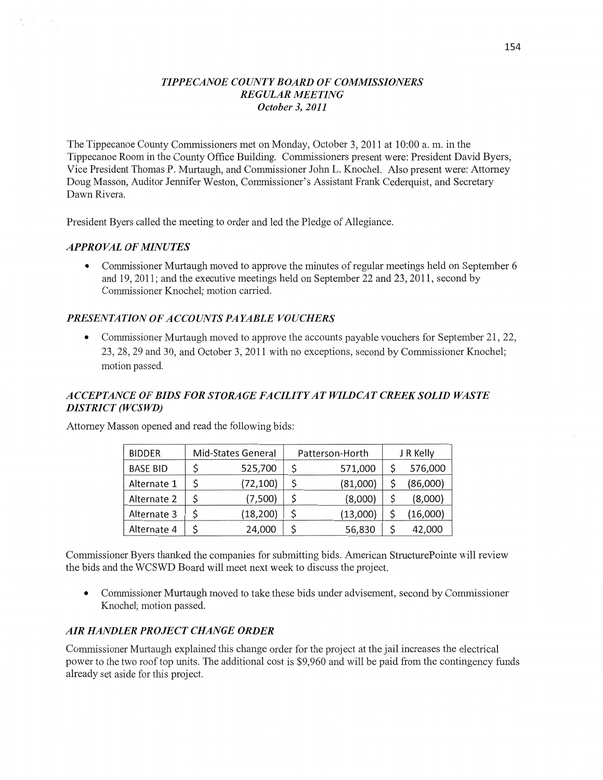### *T IPPE CANOE COUNTY BOARD* OF *COMMISSIONERS REGULAR MEETING October* 3, *2011*

The Tippecanoe County Commissioners met on Monday, October 3, 2011 at 10:00 a. m. in the Tippecanoe Room in the County Office Building. Commissioners present **were:** President David Byers, **Vice** President Thomas P. Murtaugh, and Commissioner John L. Knochel. Also present were: Attorney Doug Masson, Auditor Jennifer Weston, Commissioner's Assistant Frank Cederquist, and Secretary Dawn Rivera.

President Byers called the meeting to order and led the Pledge of Allegiance.

### *APPROVAL* OF *MINUTES*

**0** Commissioner Murtaugh moved to approve the **minutes** of regular meetings held on September 6 and 19, 2011; and the executive meetings held on September 22 and 23, 2011, second by Commissioner Knochel; motion carried.

#### *PRESENTATION* OF *ACCOUNTS* PA *YABLE VOUCHERS*

'0 Commissioner Murtaugh moved to approve the accounts payable vouchers for September 21, 22, 23, 28, 29 and 30, and October 3, 2011 with no exceptions, second by Commissioner Knochel; motion passed.

### *ACCEPTANCE* OF *BIDS* FOR *STORAGE* FA *CILI T Y* AT *WYLDCAT CREEK SOLID WASTE DISTRICT (WCSWD)*

| <b>BIDDER</b>   | Mid-States General |           | Patterson-Horth |          | J R Kelly |          |
|-----------------|--------------------|-----------|-----------------|----------|-----------|----------|
| <b>BASE BID</b> |                    | 525,700   |                 | 571,000  |           | 576,000  |
| Alternate 1     |                    | (72, 100) |                 | (81,000) |           | (86,000) |
| Alternate 2     |                    | (7,500)   |                 | (8,000)  |           | (8,000)  |
| Alternate 3     |                    | (18, 200) |                 | (13,000) |           | (16,000) |
| Alternate 4     |                    | 24,000    |                 | 56,830   |           | 42,000   |

Attorney Masson opened and read the following bids:

Commissioner Byers thanked the companies for submitting bids. American StructurePointe will review the bids and the WCSWD Board will meet next week to discuss the project.

**0** Commissioner Murtaugh **moved** to take **these** bids under advisement, second by Commissioner Knochel; motion passed.

#### AIR *HANDLER PROJECT CHANGE ORDER*

Commissioner Murtaugh explained this change order for the project at the jail increases the electrical power to the two roof top units. The additional cost is \$9,960 and will be paid from the contingency funds already set aside for this project.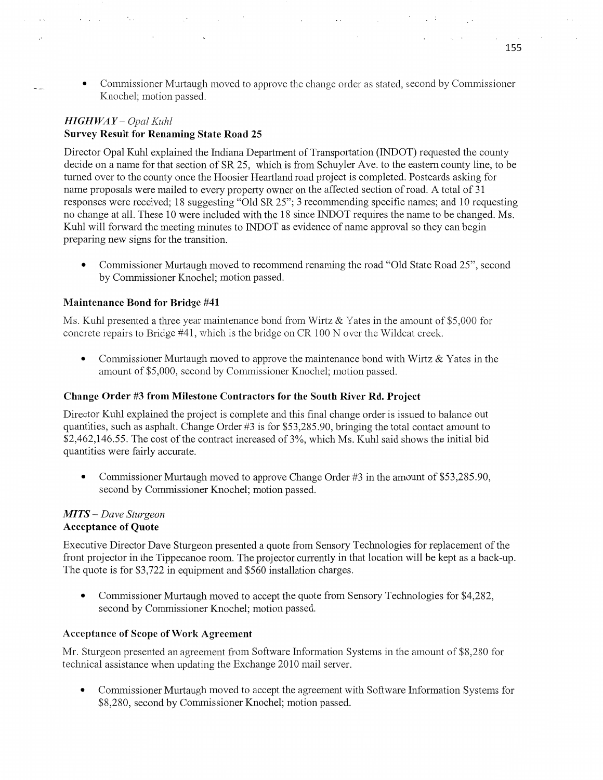**0** Commissioner Murtaugh moved to approve the change order as stated, second by Commissioner Knochel; motion passed.

 $\sim 10^{-11}$ 

 $\sim 100$ 

## *HIGH* WA *Y — Opal Kuhl*  **Survey** Result for **Renaming State Road** 25

 $\ddot{\phantom{a}}$ 

Director Opal Kuhl explained the Indiana Department of Transportation (INDOT) requested the county decide on a name for that section of SR 25, which is from Schuyler Ave. to the eastern county line, to be turned over to the county once the Hoosier Heartland road project is completed. Postcards asking for name proposals were mailed to every property owner on the affected section of road. A total of 31 responses were received; 18 suggesting "Old SR 25"; 3 recommending specific names; and 10 requesting no change at all. These 10 were included with the 18 since INDOT requires the name to be changed. Ms. Kuhl will forward the meeting minutes to INDOT as evidence of name approval so they can begin preparing new signs for the transition.

**0** Commissioner Murtaugh moved to recommend renaming the road **"Old** State Road 25", second by Commissioner Knochel; motion passed.

#### **Maintenance Bond** for **Bridge** #41

Ms. Kuhl presented a three year maintenance bond from Wirtz & Yates in the amount of \$5,000 for concrete repairs to Bridge  $#41$ , which is the bridge on CR 100 N over the Wildcat creek.

**0** Commissioner Murtaugh moved to approve the maintenance bond with Wirtz & Yates in the amount of \$5,000, second by Commissioner Knochel; motion passed.

#### **Change** Order #3 from Milestone **Contractors** for the South **River** Rd. **Project**

Director Kuhl explained the project is complete and this final change order is issued to balance out quantities, such as asphalt. Change Order #3 is for \$53,285.90, bringing the total contact amount to \$2,462,146.55. The cost of the contract increased of 3%, which Ms. Kuhl said shows the **initial** bid quantities were fairly accurate.

• Commissioner Murtaugh moved to approve Change Order #3 in the amount of \$53,285.90, second by Commissioner Knochel; motion passed.

#### MI *T S* — *Dave Sturgeon*  **Acceptance** of **Quote**

Executive Director Dave Sturgeon presented **a** quote from Sensory Technologies for replacement of the front projector in the Tippecanoe room. The projector currently in that location will be kept as a back-up. The quote is for \$3,722 in equipment and \$560 installation charges.

**0** Commissioner Murtaugh moved to accept the quote from Sensory Technologies for \$4,282, second by Commissioner Knochel; motion passed.

#### **Acceptance** of **Scope** of Work **Agreement**

Mr. Sturgeon presented an agreement from Software Information Systems in the amount of \$8,280 for technical assistance when updating the Exchange 2010 mail server.

**0** Commissioner Murtaugh moved to accept the agreement with Software Information Systems for \$8,280, second by Commissioner Knochel; motion passed.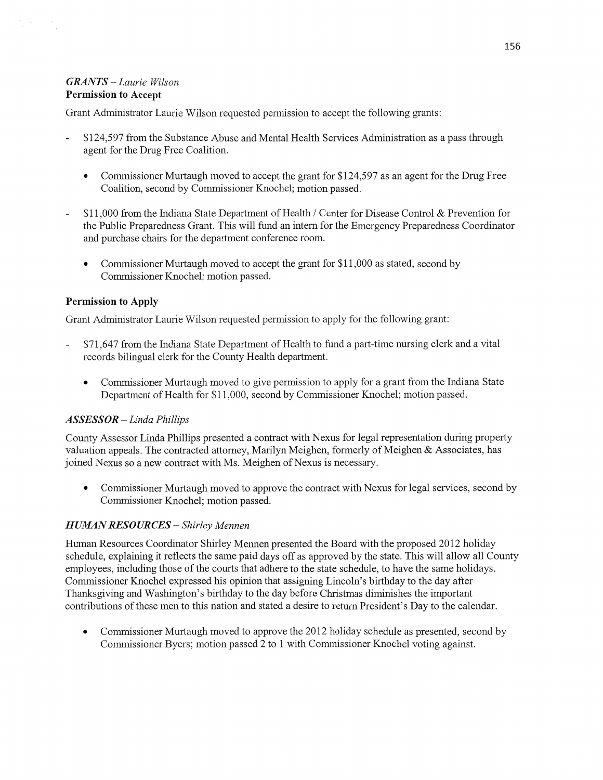### *GRANTS* — *Laurie Wilson*  Permission to **Accept**

 $\frac{d^2}{2}$  ,  $\frac{d^2}{2}$ 

Grant Administrator Laurie Wilson requested permission to accept the following grants:

- \$124,597 from the Substance Abuse and Mental Health Services Administration as a pass through agent for the Drug Free Coalition.
	- **0** Commissioner Murtaugh moved to accept the grant for \$124,597 as an agent for the Drug Free Coalition, second by Commissioner Knochel; motion passed.
- \$11,000 from the **Indiana** State Department of Health **/** Center for Disease Control & Prevention for the Public Preparedness Grant. **This** will fund an intern for the Emergency Preparedness Coordinator and purchase chairs for the department conference room.
	- **0** Commissioner Murtaugh moved to accept the grant for \$11,000 as stated, second by Commissioner Knochel; motion passed.

### Permission to Apply

Grant Administrator Laurie Wilson requested permission to apply for the following grant:

- \$71,647 from the Indiana State Department of Health to fund a part-time nursing clerk and a Vital records bilingual clerk for the County Health department.
	- **0** Commissioner Murtaugh moved to give permission to apply for a grant from the Indiana State Department of Health for \$11,000, second by Commissioner Knochel; motion passed.

#### *ASSESSOR* — *Linda Phillips*

County Assessor Linda Phillips presented a contract with Nexus for legal representation during property valuation appeals. The contracted attorney, Marilyn Meighen, formerly of Meighen & Associates, has joined Nexus so a new contract with Ms. Meighen of Nexus is necessary.

**0** Commissioner Murtaugh moved to approve the contract with Nexus for legal services, second by Commissioner Knochel; motion passed.

### *HUMAN RESOURCES* **—** *Shirley Mennen*

Human Resources Coordinator Shirley Mennen presented the Board with the proposed 2012 holiday schedule, explaining it reflects the same paid days off as approved by the state. **This** will allow all County employees, including those of the courts that adhere to the state schedule, to have the same holidays. Commissioner Knochel expressed his opinion that assigning Lincoln's birthday to the day after Thanksgiving and Washington's birthday to the day before Christmas diminishes the important contributions of these men to this nation and stated a desire to return President's Day to the calendar.

**0** Commissioner Murtaugh moved to approve the 2012 holiday schedule as presented, second by Commissioner Byers; motion passed 2 to 1 with Commissioner Knochel voting against.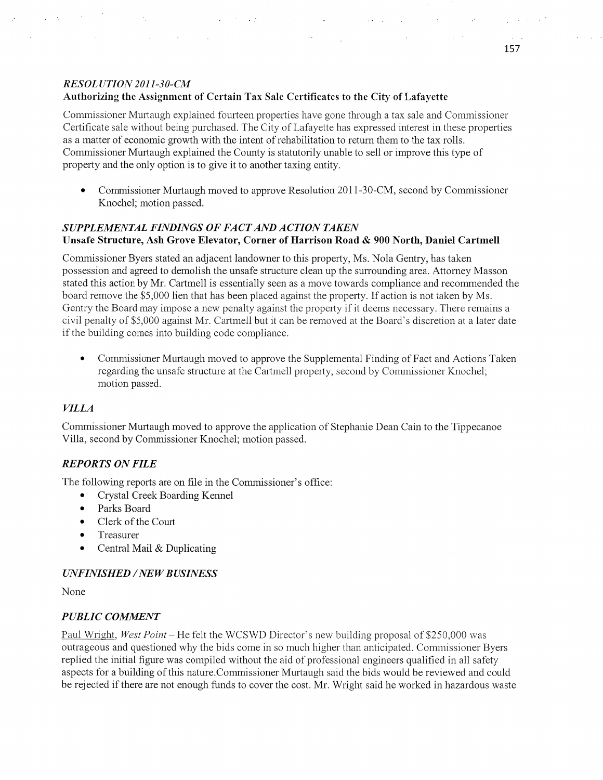### *RESOL UTION2011—30-CM*  Authorizing the Assignment of Certain Tax **Sale** Certificates to the **City** of **Lafayette**

 $\ddot{\phantom{0}}$ 

 $\sim 10$ 

 $\ddot{\phantom{a}}$ 

Commissioner Murtaugh explained fourteen properties have gone through a tax sale and Commissioner Certificate sale without being purchased. The City of Lafayette has expressed interest in these properties as a matter of economic growth with the intent of rehabilitation to return them to the tax rolls. Commissioner Murtaugh explained the County is statutorily unable to sell or improve this type of property and the only option is to give it to another taxing entity.

 $\mathcal{O}(\log n)$  , and  $\mathcal{O}(\log n)$  , and  $\mathcal{O}(\log n)$ 

**0** Commissioner Murtaugh moved to approve Resolution 2011-30-CM, second by Commissioner Knochel; motion passed.

### **SUPPLEMENTAL FINDINGS OF FACT AND ACTION TAKEN** Unsafe **Structure,** Ash Grove **Elevator,** Corner of Harrison **Road &** 900 **North,** Daniel Cartmell

Commissioner Byers stated an adjacent landowner to this property, Ms. Nola Gentry, has taken possession and agreed to demolish the unsafe structure clean up the surrounding area. Attorney Masson stated this action by Mr. Cartmell is essentially seen as a move towards compliance and recommended the board remove the \$5,000 lien that has been placed against the property. If action is not taken by Ms. Gentry the Board may impose a new penalty against the property if it deems necessary. There remains a civil penalty of \$5,000 against Mr. Cartmell but it can be removed at the Board's discretion at a later date if the building comes into building code compliance.

**0** Commissioner Murtaugh moved to approve the Supplemental Finding of Fact and Actions Taken regarding the unsafe structure at the Cartmell property, second by Commissioner Knochel; motion passed.

## *VILLA*

Commissioner Murtaugh moved to approve the application of Stephanie Dean Cain to the Tippecanoe Villa, second by Commissioner Knochel; motion passed.

## *REPORTS* ON *FILE*

The following reports are on file in the Commissioner's office:

- Crystal Creek Boarding Kennel  $\bullet$
- Parks Board  $\bullet$
- Clerk of the Court  $\bullet$
- $\bullet$ Treasurer
- Central Mail & Duplicating  $\bullet$

## $UNFINISHED / NEW BUSINESS$

None

## *PUBLIC COMMENT*

Paul Wright, *West Point* – He felt the WCSWD Director's new building proposal of \$250,000 was outrageous and questioned why the bids come in so much higher than anticipated. Commissioner Byers replied the initial figure was compiled without the aid of professional engineers qualified in all safety aspects for a building of this nature. Commissioner Murtaugh said the bids would be reviewed and could be rejected if there are not enough funds to cover the cost. Mr. Wright said he worked in hazardous waste